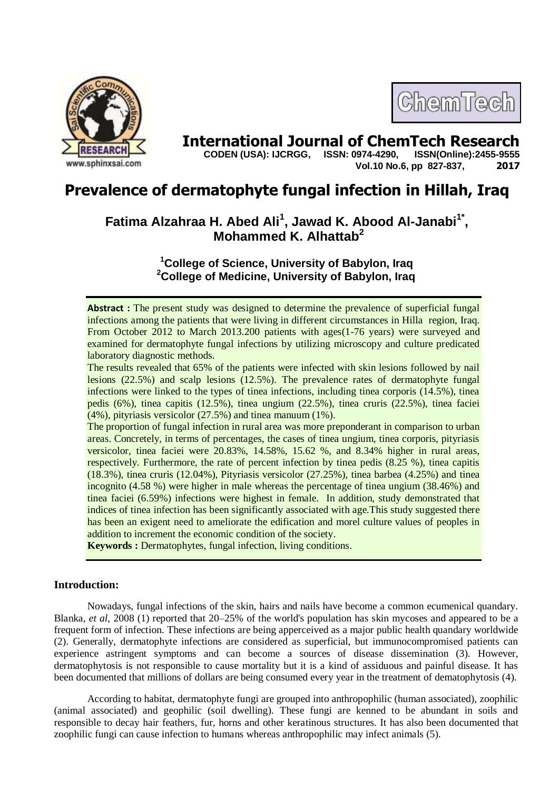

# **International Journal of ChemTech Research CODEN (USA): IJCRGG. ISSN: 0974-4290. ISSN(Online):2455-9555**

 **CODEN (USA): IJCRGG, ISSN: 0974-4290, Vol.10 No.6, pp 827-837, 2017**

ChemTech

# **Prevalence of dermatophyte fungal infection in Hillah, Iraq**

# **Fatima Alzahraa H. Abed Ali<sup>1</sup> , Jawad K. Abood Al-Janabi1\* , Mohammed K. Alhattab<sup>2</sup>**

**<sup>1</sup>College of Science, University of Babylon, Iraq <sup>2</sup>College of Medicine, University of Babylon, Iraq**

**Abstract :** The present study was designed to determine the prevalence of superficial fungal infections among the patients that were living in different circumstances in Hilla region, Iraq. From October 2012 to March 2013.200 patients with ages(1-76 years) were surveyed and examined for dermatophyte fungal infections by utilizing microscopy and culture predicated laboratory diagnostic methods.

The results revealed that 65% of the patients were infected with skin lesions followed by nail lesions (22.5%) and scalp lesions (12.5%). The prevalence rates of dermatophyte fungal infections were linked to the types of tinea infections, including tinea corporis (14.5%), tinea pedis (6%), tinea capitis (12.5%), tinea ungium (22.5%), tinea cruris (22.5%), tinea faciei (4%), pityriasis versicolor (27.5%) and tinea manuum (1%).

The proportion of fungal infection in rural area was more preponderant in comparison to urban areas. Concretely, in terms of percentages, the cases of tinea ungium, tinea corporis, pityriasis versicolor, tinea faciei were 20.83%, 14.58%, 15.62 %, and 8.34% higher in rural areas, respectively. Furthermore, the rate of percent infection by tinea pedis (8.25 %), tinea capitis (18.3%), tinea cruris (12.04%), Pityriasis versicolor (27.25%), tinea barbea (4.25%) and tinea incognito (4.58 %) were higher in male whereas the percentage of tinea ungium (38.46%) and tinea faciei (6.59%) infections were highest in female. In addition, study demonstrated that indices of tinea infection has been significantly associated with age.This study suggested there has been an exigent need to ameliorate the edification and morel culture values of peoples in addition to increment the economic condition of the society.

**Keywords :** Dermatophytes, fungal infection, living conditions.

# **Introduction:**

Nowadays, fungal infections of the skin, hairs and nails have become a common ecumenical quandary. Blanka, *et al*, 2008 (1) reported that 20–25% of the world's population has skin mycoses and appeared to be a frequent form of infection. These infections are being apperceived as a major public health quandary worldwide (2). Generally, dermatophyte infections are considered as superficial, but immunocompromised patients can experience astringent symptoms and can become a sources of disease dissemination (3). However, dermatophytosis is not responsible to cause mortality but it is a kind of assiduous and painful disease. It has been documented that millions of dollars are being consumed every year in the treatment of dematophytosis (4).

According to habitat, dermatophyte fungi are grouped into anthropophilic (human associated), zoophilic (animal associated) and geophilic (soil dwelling). These fungi are kenned to be abundant in soils and responsible to decay hair feathers, fur, horns and other keratinous structures. It has also been documented that zoophilic fungi can cause infection to humans whereas anthropophilic may infect animals (5).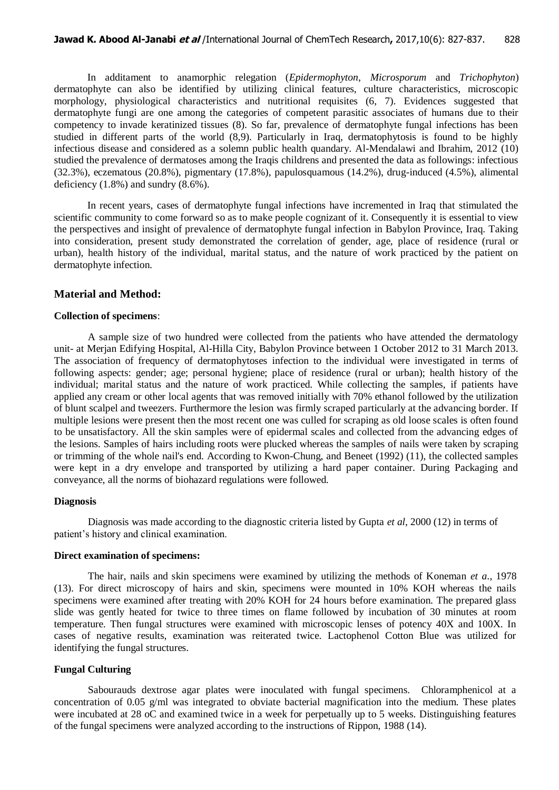In additament to anamorphic relegation (*Epidermophyton*, *Microsporum* and *Trichophyton*) dermatophyte can also be identified by utilizing clinical features, culture characteristics, microscopic morphology, physiological characteristics and nutritional requisites (6, 7). Evidences suggested that dermatophyte fungi are one among the categories of competent parasitic associates of humans due to their competency to invade keratinized tissues (8). So far, prevalence of dermatophyte fungal infections has been studied in different parts of the world (8,9). Particularly in Iraq, dermatophytosis is found to be highly infectious disease and considered as a solemn public health quandary. Al-Mendalawi and Ibrahim, 2012 (10) studied the prevalence of dermatoses among the Iraqis childrens and presented the data as followings: infectious (32.3%), eczematous (20.8%), pigmentary (17.8%), papulosquamous (14.2%), drug-induced (4.5%), alimental deficiency  $(1.8\%)$  and sundry  $(8.6\%).$ 

In recent years, cases of dermatophyte fungal infections have incremented in Iraq that stimulated the scientific community to come forward so as to make people cognizant of it. Consequently it is essential to view the perspectives and insight of prevalence of dermatophyte fungal infection in Babylon Province, Iraq. Taking into consideration, present study demonstrated the correlation of gender, age, place of residence (rural or urban), health history of the individual, marital status, and the nature of work practiced by the patient on dermatophyte infection.

#### **Material and Method:**

#### **Collection of specimens**:

A sample size of two hundred were collected from the patients who have attended the dermatology unit- at Merjan Edifying Hospital, Al-Hilla City, Babylon Province between 1 October 2012 to 31 March 2013. The association of frequency of dermatophytoses infection to the individual were investigated in terms of following aspects: gender; age; personal hygiene; place of residence (rural or urban); health history of the individual; marital status and the nature of work practiced. While collecting the samples, if patients have applied any cream or other local agents that was removed initially with 70% ethanol followed by the utilization of blunt scalpel and tweezers. Furthermore the lesion was firmly scraped particularly at the advancing border. If multiple lesions were present then the most recent one was culled for scraping as old loose scales is often found to be unsatisfactory. All the skin samples were of epidermal scales and collected from the advancing edges of the lesions. Samples of hairs including roots were plucked whereas the samples of nails were taken by scraping or trimming of the whole nail's end. According to Kwon-Chung, and Beneet (1992) (11), the collected samples were kept in a dry envelope and transported by utilizing a hard paper container. During Packaging and conveyance, all the norms of biohazard regulations were followed.

#### **Diagnosis**

Diagnosis was made according to the diagnostic criteria listed by Gupta *et al*, 2000 (12) in terms of patient's history and clinical examination.

#### **Direct examination of specimens:**

The hair, nails and skin specimens were examined by utilizing the methods of Koneman *et a*., 1978 (13). For direct microscopy of hairs and skin, specimens were mounted in 10% KOH whereas the nails specimens were examined after treating with 20% KOH for 24 hours before examination. The prepared glass slide was gently heated for twice to three times on flame followed by incubation of 30 minutes at room temperature. Then fungal structures were examined with microscopic lenses of potency 40X and 100X. In cases of negative results, examination was reiterated twice. Lactophenol Cotton Blue was utilized for identifying the fungal structures.

#### **Fungal Culturing**

Sabourauds dextrose agar plates were inoculated with fungal specimens. Chloramphenicol at a concentration of 0.05 g/ml was integrated to obviate bacterial magnification into the medium. These plates were incubated at 28 oC and examined twice in a week for perpetually up to 5 weeks. Distinguishing features of the fungal specimens were analyzed according to the instructions of Rippon, 1988 (14).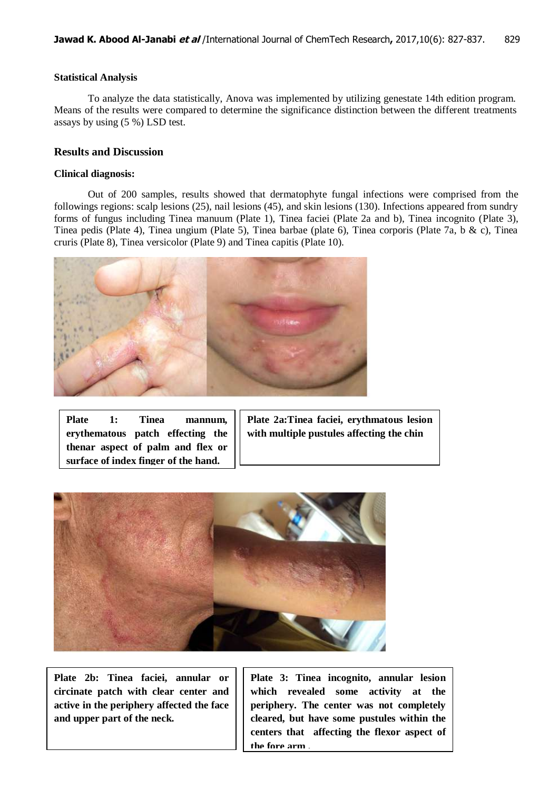## **Statistical Analysis**

To analyze the data statistically, Anova was implemented by utilizing genestate 14th edition program. Means of the results were compared to determine the significance distinction between the different treatments assays by using (5 %) LSD test.

## **Results and Discussion**

## **Clinical diagnosis:**

Out of 200 samples, results showed that dermatophyte fungal infections were comprised from the followings regions: scalp lesions (25), nail lesions (45), and skin lesions (130). Infections appeared from sundry forms of fungus including Tinea manuum (Plate 1), Tinea faciei (Plate 2a and b), Tinea incognito (Plate 3), Tinea pedis (Plate 4), Tinea ungium (Plate 5), Tinea barbae (plate 6), Tinea corporis (Plate 7a, b & c), Tinea cruris (Plate 8), Tinea versicolor (Plate 9) and Tinea capitis (Plate 10).



**Plate 1: Tinea mannum, erythematous patch effecting the thenar aspect of palm and flex or surface of index finger of the hand.**

**Plate 2a:Tinea faciei, erythmatous lesion with multiple pustules affecting the chin**



**Plate 2b: Tinea faciei, annular or circinate patch with clear center and active in the periphery affected the face and upper part of the neck.**

**Plate 3: Tinea incognito, annular lesion which revealed some activity at the periphery. The center was not completely cleared, but have some pustules within the centers that affecting the flexor aspect of the fore arm .**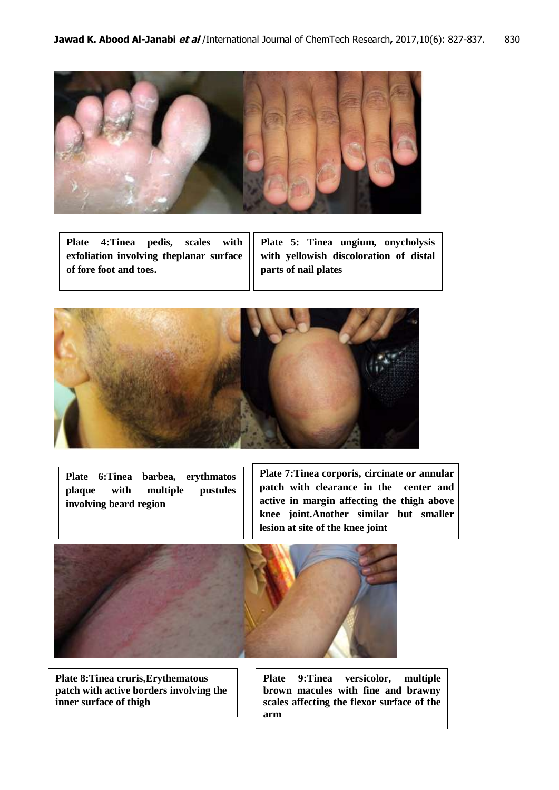

**Plate 4:Tinea pedis, scales with exfoliation involving theplanar surface of fore foot and toes.** 

**Plate 5: Tinea ungium, onycholysis with yellowish discoloration of distal parts of nail plates**



**Plate 6:Tinea barbea, erythmatos plaque with multiple pustules involving beard region**

**Plate 7:Tinea corporis, circinate or annular patch with clearance in the center and active in margin affecting the thigh above knee joint.Another similar but smaller lesion at site of the knee joint**



**Plate 8:Tinea cruris,Erythematous patch with active borders involving the inner surface of thigh**

**Plate 9:Tinea versicolor, multiple brown macules with fine and brawny scales affecting the flexor surface of the arm**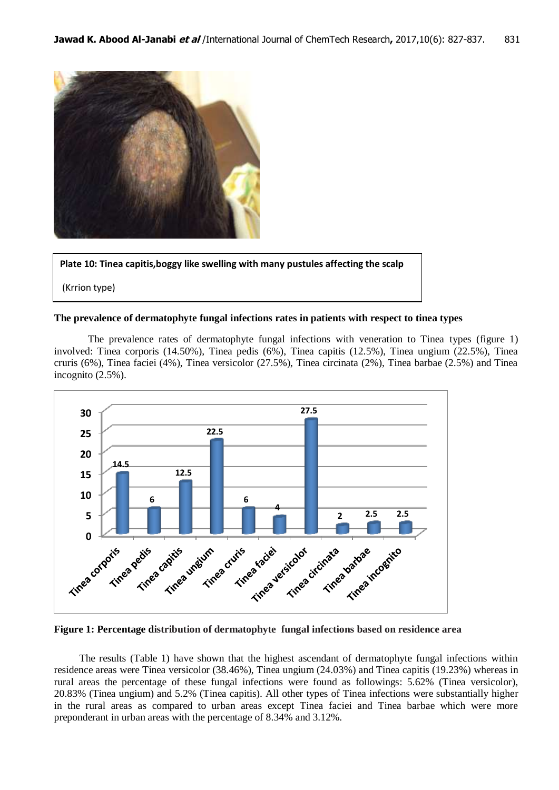

**Plate 10: Tinea capitis,boggy like swelling with many pustules affecting the scalp**

(Krrion type)

## **The prevalence of dermatophyte fungal infections rates in patients with respect to tinea types**

The prevalence rates of dermatophyte fungal infections with veneration to Tinea types (figure 1) involved: Tinea corporis (14.50%), Tinea pedis (6%), Tinea capitis (12.5%), Tinea ungium (22.5%), Tinea cruris (6%), Tinea faciei (4%), Tinea versicolor (27.5%), Tinea circinata (2%), Tinea barbae (2.5%) and Tinea incognito (2.5%).



**Figure 1: Percentage distribution of dermatophyte fungal infections based on residence area**

The results (Table 1) have shown that the highest ascendant of dermatophyte fungal infections within residence areas were Tinea versicolor (38.46%), Tinea ungium (24.03%) and Tinea capitis (19.23%) whereas in rural areas the percentage of these fungal infections were found as followings: 5.62% (Tinea versicolor), 20.83% (Tinea ungium) and 5.2% (Tinea capitis). All other types of Tinea infections were substantially higher in the rural areas as compared to urban areas except Tinea faciei and Tinea barbae which were more preponderant in urban areas with the percentage of 8.34% and 3.12%.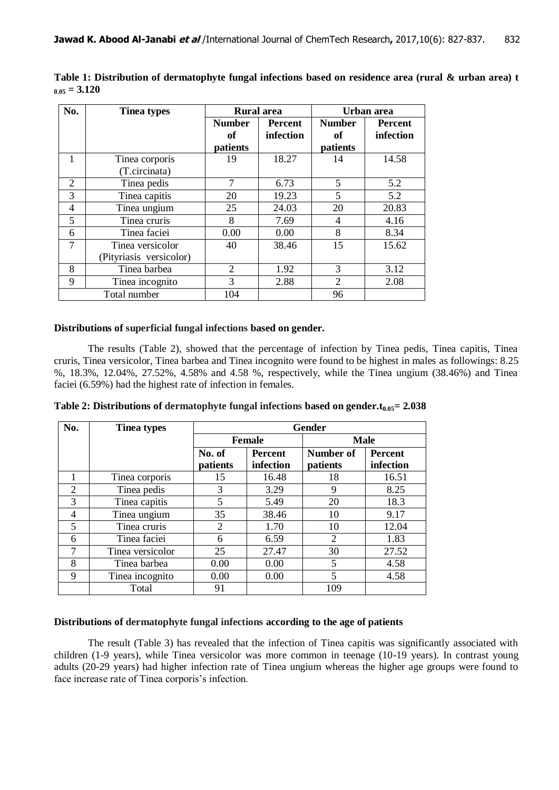| No. | <b>Tinea types</b>      | <b>Rural</b> area |                | Urban area     |                |
|-----|-------------------------|-------------------|----------------|----------------|----------------|
|     |                         | <b>Number</b>     | <b>Percent</b> | <b>Number</b>  | <b>Percent</b> |
|     |                         | of                | infection      | оf             | infection      |
|     |                         | patients          |                | patients       |                |
| 1   | Tinea corporis          | 19                | 18.27          | 14             | 14.58          |
|     | (T.circinata)           |                   |                |                |                |
| 2   | Tinea pedis             | 7                 | 6.73           | 5              | 5.2            |
| 3   | Tinea capitis           | 20                | 19.23          | 5              | 5.2            |
| 4   | Tinea ungium            | 25                | 24.03          | 20             | 20.83          |
| 5   | Tinea cruris            | 8                 | 7.69           | 4              | 4.16           |
| 6   | Tinea faciei            | 0.00              | 0.00           | 8              | 8.34           |
| 7   | Tinea versicolor        | 40                | 38.46          | 15             | 15.62          |
|     | (Pityriasis versicolor) |                   |                |                |                |
| 8   | Tinea barbea            | 2                 | 1.92           | 3              | 3.12           |
| 9   | Tinea incognito         | 3                 | 2.88           | $\overline{2}$ | 2.08           |
|     | Total number            | 104               |                | 96             |                |

**Table 1: Distribution of dermatophyte fungal infections based on residence area (rural & urban area) t**   $_{0.05} = 3.120$ 

#### **Distributions of superficial fungal infections based on gender.**

The results (Table 2), showed that the percentage of infection by Tinea pedis, Tinea capitis, Tinea cruris, Tinea versicolor, Tinea barbea and Tinea incognito were found to be highest in males as followings: 8.25 %, 18.3%, 12.04%, 27.52%, 4.58% and 4.58 %, respectively, while the Tinea ungium (38.46%) and Tinea faciei (6.59%) had the highest rate of infection in females.

| No.            | <b>Tinea types</b> | <b>Gender</b>  |           |             |           |
|----------------|--------------------|----------------|-----------|-------------|-----------|
|                |                    | <b>Female</b>  |           | <b>Male</b> |           |
|                |                    | No. of         | Percent   | Number of   | Percent   |
|                |                    | patients       | infection | patients    | infection |
|                | Tinea corporis     | 15             | 16.48     | 18          | 16.51     |
| $\overline{2}$ | Tinea pedis        | 3              | 3.29      | 9           | 8.25      |
| 3              | Tinea capitis      | 5              | 5.49      | 20          | 18.3      |
| 4              | Tinea ungium       | 35             | 38.46     | 10          | 9.17      |
| 5              | Tinea cruris       | $\overline{2}$ | 1.70      | 10          | 12.04     |
| 6              | Tinea faciei       | 6              | 6.59      | 2           | 1.83      |
| 7              | Tinea versicolor   | 25             | 27.47     | 30          | 27.52     |
| 8              | Tinea barbea       | 0.00           | 0.00      | 5           | 4.58      |
| 9              | Tinea incognito    | 0.00           | 0.00      | 5           | 4.58      |
|                | Total              | 91             |           | 109         |           |

**Table 2: Distributions of dermatophyte fungal infections based on gender.t0.05= 2.038**

## **Distributions of dermatophyte fungal infections according to the age of patients**

The result (Table 3) has revealed that the infection of Tinea capitis was significantly associated with children (1-9 years), while Tinea versicolor was more common in teenage (10-19 years). In contrast young adults (20-29 years) had higher infection rate of Tinea ungium whereas the higher age groups were found to face increase rate of Tinea corporis's infection.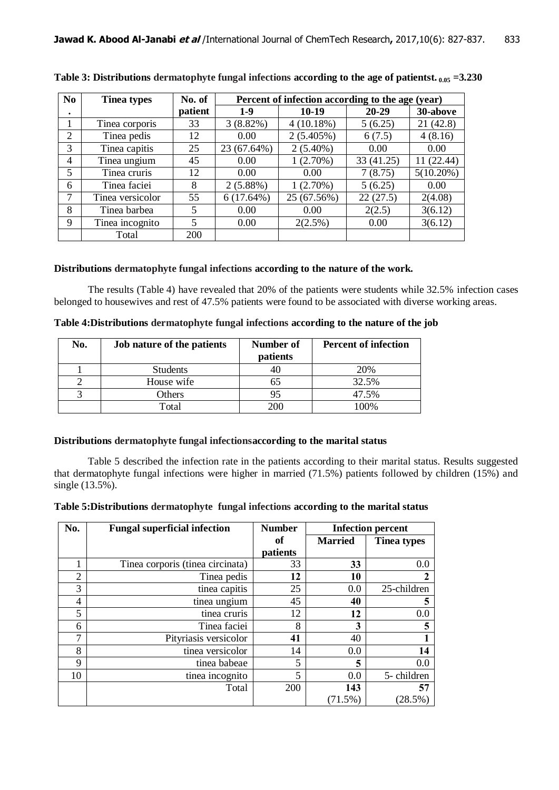| N <sub>0</sub> | <b>Tinea types</b> | No. of     | Percent of infection according to the age (year) |             |            |              |
|----------------|--------------------|------------|--------------------------------------------------|-------------|------------|--------------|
| ٠              |                    | patient    | $1-9$                                            | 10-19       | $20 - 29$  | 30-above     |
|                | Tinea corporis     | 33         | $3(8.82\%)$                                      | 4(10.18%)   | 5(6.25)    | 21 (42.8)    |
| 2              | Tinea pedis        | 12         | 0.00                                             | 2(5.405%)   | 6(7.5)     | 4(8.16)      |
| 3              | Tinea capitis      | 25         | 23 (67.64%)                                      | $2(5.40\%)$ | 0.00       | 0.00         |
| 4              | Tinea ungium       | 45         | 0.00                                             | 1(2.70%)    | 33 (41.25) | 11 (22.44)   |
| 5              | Tinea cruris       | 12         | 0.00                                             | 0.00        | 7(8.75)    | $5(10.20\%)$ |
| 6              | Tinea faciei       | 8          | $2(5.88\%)$                                      | 1(2.70%)    | 5(6.25)    | 0.00         |
| 7              | Tinea versicolor   | 55         | $6(17.64\%)$                                     | 25 (67.56%) | 22(27.5)   | 2(4.08)      |
| 8              | Tinea barbea       | 5          | 0.00                                             | 0.00        | 2(2.5)     | 3(6.12)      |
| 9              | Tinea incognito    | 5          | 0.00                                             | $2(2.5\%)$  | 0.00       | 3(6.12)      |
|                | Total              | <b>200</b> |                                                  |             |            |              |

**Table 3: Distributions dermatophyte fungal infections according to the age of patientst. 0.05 =3.230**

# **Distributions dermatophyte fungal infections according to the nature of the work.**

The results (Table 4) have revealed that 20% of the patients were students while 32.5% infection cases belonged to housewives and rest of 47.5% patients were found to be associated with diverse working areas.

| No. | Job nature of the patients | Number of<br>patients | <b>Percent of infection</b> |
|-----|----------------------------|-----------------------|-----------------------------|
|     | <b>Students</b>            |                       | 20%                         |
|     | House wife                 | რ5                    | 32.5%                       |
|     | Others                     | 95                    | 47.5%                       |
|     | Total                      |                       | 100%                        |

**Table 4:Distributions dermatophyte fungal infections according to the nature of the job**

## **Distributions dermatophyte fungal infectionsaccording to the marital status**

Table 5 described the infection rate in the patients according to their marital status. Results suggested that dermatophyte fungal infections were higher in married (71.5%) patients followed by children (15%) and single (13.5%).

| Table 5: Distributions dermatophyte fungal infections according to the marital status |  |  |
|---------------------------------------------------------------------------------------|--|--|
|                                                                                       |  |  |

| No.            | <b>Fungal superficial infection</b> | <b>Number</b>        | <b>Infection percent</b> |                    |
|----------------|-------------------------------------|----------------------|--------------------------|--------------------|
|                |                                     | of<br><b>Married</b> |                          | <b>Tinea types</b> |
|                |                                     | patients             |                          |                    |
|                | Tinea corporis (tinea circinata)    | 33                   | 33                       | 0.0                |
| $\overline{2}$ | Tinea pedis                         | 12                   | 10                       |                    |
| 3              | tinea capitis                       | 25                   | 0.0                      | 25-children        |
| 4              | tinea ungium                        | 45                   | 40                       | 5                  |
| 5              | tinea cruris                        | 12                   | 12                       | 0.0                |
| 6              | Tinea faciei                        | 8                    |                          | 5                  |
| 7              | Pityriasis versicolor               | 41                   | 40                       |                    |
| 8              | tinea versicolor                    | 14                   | 0.0                      | 14                 |
| 9              | tinea babeae                        | 5                    | 5                        | 0.0                |
| 10             | tinea incognito                     | 5                    | 0.0                      | 5-children         |
|                | Total                               | 200                  | 143                      | 57                 |
|                |                                     |                      | (71.5%)                  | (28.5%)            |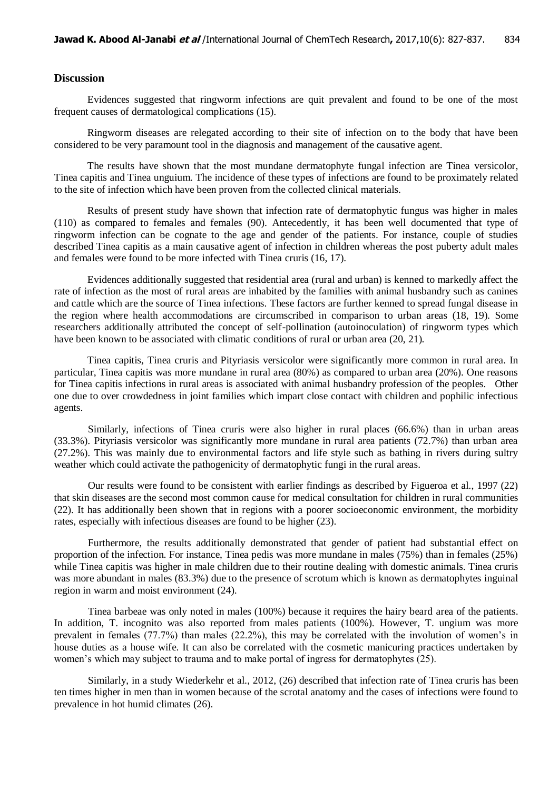## **Discussion**

Evidences suggested that ringworm infections are quit prevalent and found to be one of the most frequent causes of dermatological complications (15).

Ringworm diseases are relegated according to their site of infection on to the body that have been considered to be very paramount tool in the diagnosis and management of the causative agent.

The results have shown that the most mundane dermatophyte fungal infection are Tinea versicolor, Tinea capitis and Tinea unguium. The incidence of these types of infections are found to be proximately related to the site of infection which have been proven from the collected clinical materials.

Results of present study have shown that infection rate of dermatophytic fungus was higher in males (110) as compared to females and females (90). Antecedently, it has been well documented that type of ringworm infection can be cognate to the age and gender of the patients. For instance, couple of studies described Tinea capitis as a main causative agent of infection in children whereas the post puberty adult males and females were found to be more infected with Tinea cruris (16, 17).

Evidences additionally suggested that residential area (rural and urban) is kenned to markedly affect the rate of infection as the most of rural areas are inhabited by the families with animal husbandry such as canines and cattle which are the source of Tinea infections. These factors are further kenned to spread fungal disease in the region where health accommodations are circumscribed in comparison to urban areas (18, 19). Some researchers additionally attributed the concept of self-pollination (autoinoculation) of ringworm types which have been known to be associated with climatic conditions of rural or urban area (20, 21).

Tinea capitis, Tinea cruris and Pityriasis versicolor were significantly more common in rural area. In particular, Tinea capitis was more mundane in rural area (80%) as compared to urban area (20%). One reasons for Tinea capitis infections in rural areas is associated with animal husbandry profession of the peoples. Other one due to over crowdedness in joint families which impart close contact with children and pophilic infectious agents.

Similarly, infections of Tinea cruris were also higher in rural places (66.6%) than in urban areas (33.3%). Pityriasis versicolor was significantly more mundane in rural area patients (72.7%) than urban area (27.2%). This was mainly due to environmental factors and life style such as bathing in rivers during sultry weather which could activate the pathogenicity of dermatophytic fungi in the rural areas.

 Our results were found to be consistent with earlier findings as described by Figueroa et al., 1997 (22) that skin diseases are the second most common cause for medical consultation for children in rural communities (22). It has additionally been shown that in regions with a poorer socioeconomic environment, the morbidity rates, especially with infectious diseases are found to be higher (23).

 Furthermore, the results additionally demonstrated that gender of patient had substantial effect on proportion of the infection. For instance, Tinea pedis was more mundane in males (75%) than in females (25%) while Tinea capitis was higher in male children due to their routine dealing with domestic animals. Tinea cruris was more abundant in males (83.3%) due to the presence of scrotum which is known as dermatophytes inguinal region in warm and moist environment (24).

Tinea barbeae was only noted in males (100%) because it requires the hairy beard area of the patients. In addition, T. incognito was also reported from males patients (100%). However, T. ungium was more prevalent in females (77.7%) than males (22.2%), this may be correlated with the involution of women's in house duties as a house wife. It can also be correlated with the cosmetic manicuring practices undertaken by women's which may subject to trauma and to make portal of ingress for dermatophytes (25).

 Similarly, in a study Wiederkehr et al., 2012, (26) described that infection rate of Tinea cruris has been ten times higher in men than in women because of the scrotal anatomy and the cases of infections were found to prevalence in hot humid climates (26).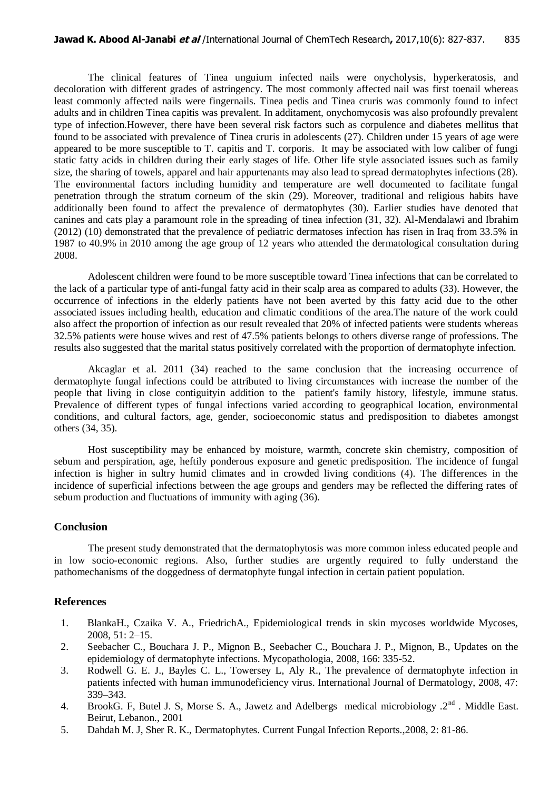The clinical features of Tinea unguium infected nails were onycholysis, hyperkeratosis, and decoloration with different grades of astringency. The most commonly affected nail was first toenail whereas least commonly affected nails were fingernails. Tinea pedis and Tinea cruris was commonly found to infect adults and in children Tinea capitis was prevalent. In additament, onychomycosis was also profoundly prevalent type of infection.However, there have been several risk factors such as corpulence and diabetes mellitus that found to be associated with prevalence of Tinea cruris in adolescents (27). Children under 15 years of age were appeared to be more susceptible to T. capitis and T. corporis. It may be associated with low caliber of fungi static fatty acids in children during their early stages of life. Other life style associated issues such as family size, the sharing of towels, apparel and hair appurtenants may also lead to spread dermatophytes infections (28). The environmental factors including humidity and temperature are well documented to facilitate fungal penetration through the stratum corneum of the skin (29). Moreover, traditional and religious habits have additionally been found to affect the prevalence of dermatophytes (30). Earlier studies have denoted that canines and cats play a paramount role in the spreading of tinea infection (31, 32). Al-Mendalawi and Ibrahim (2012) (10) demonstrated that the prevalence of pediatric dermatoses infection has risen in Iraq from 33.5% in 1987 to 40.9% in 2010 among the age group of 12 years who attended the dermatological consultation during 2008.

 Adolescent children were found to be more susceptible toward Tinea infections that can be correlated to the lack of a particular type of anti-fungal fatty acid in their scalp area as compared to adults (33). However, the occurrence of infections in the elderly patients have not been averted by this fatty acid due to the other associated issues including health, education and climatic conditions of the area.The nature of the work could also affect the proportion of infection as our result revealed that 20% of infected patients were students whereas 32.5% patients were house wives and rest of 47.5% patients belongs to others diverse range of professions. The results also suggested that the marital status positively correlated with the proportion of dermatophyte infection.

Akcaglar et al. 2011 (34) reached to the same conclusion that the increasing occurrence of dermatophyte fungal infections could be attributed to living circumstances with increase the number of the people that living in close contiguityin addition to the patient's family history, lifestyle, immune status. Prevalence of different types of fungal infections varied according to geographical location, environmental conditions, and cultural factors, age, gender, socioeconomic status and predisposition to diabetes amongst others (34, 35).

Host susceptibility may be enhanced by moisture, warmth, concrete skin chemistry, composition of sebum and perspiration, age, heftily ponderous exposure and genetic predisposition. The incidence of fungal infection is higher in sultry humid climates and in crowded living conditions (4). The differences in the incidence of superficial infections between the age groups and genders may be reflected the differing rates of sebum production and fluctuations of immunity with aging (36).

#### **Conclusion**

The present study demonstrated that the dermatophytosis was more common inless educated people and in low socio-economic regions. Also, further studies are urgently required to fully understand the pathomechanisms of the doggedness of dermatophyte fungal infection in certain patient population.

#### **References**

- 1. BlankaH., Czaika V. A., FriedrichA., Epidemiological trends in skin mycoses worldwide Mycoses, 2008, 51: 2–15.
- 2. Seebacher C., Bouchara J. P., Mignon B., Seebacher C., Bouchara J. P., Mignon, B., Updates on the epidemiology of dermatophyte infections. Mycopathologia, 2008, 166: 335-52.
- 3. Rodwell G. E. J., Bayles C. L., Towersey L, Aly R., The prevalence of dermatophyte infection in patients infected with human immunodeficiency virus. International Journal of Dermatology, 2008, 47: 339–343.
- 4. BrookG. F, Butel J. S, Morse S. A., Jawetz and Adelbergs medical microbiology .2<sup>nd</sup>. Middle East. Beirut, Lebanon., 2001
- 5. Dahdah M. J, Sher R. K., Dermatophytes. Current Fungal Infection Reports.,2008, 2: 81-86.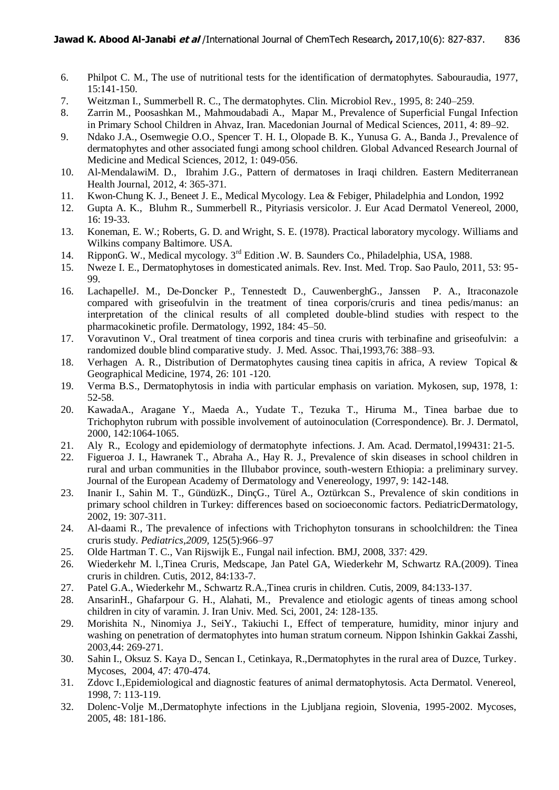- 6. Philpot C. M., The use of nutritional tests for the identification of dermatophytes. Sabouraudia, 1977, 15:141-150.
- 7. Weitzman I., Summerbell R. C., The dermatophytes. Clin. Microbiol Rev., 1995, 8: 240–259.
- 8. Zarrin M., Poosashkan M., Mahmoudabadi A., Mapar M., Prevalence of Superficial Fungal Infection in Primary School Children in Ahvaz, Iran. Macedonian Journal of Medical Sciences, 2011, 4: 89–92.
- 9. Ndako J.A., Osemwegie O.O., Spencer T. H. I., Olopade B. K., Yunusa G. A., Banda J., Prevalence of dermatophytes and other associated fungi among school children. Global Advanced Research Journal of Medicine and Medical Sciences, 2012, 1: 049-056.
- 10. Al-MendalawiM. D., Ibrahim J.G., Pattern of dermatoses in Iraqi children. Eastern Mediterranean Health Journal, 2012, 4: 365-371.
- 11. Kwon-Chung K. J., Beneet J. E., Medical Mycology. Lea & Febiger, Philadelphia and London, 1992
- 12. Gupta A. K., Bluhm R., Summerbell R., Pityriasis versicolor. J. Eur Acad Dermatol Venereol, 2000, 16: 19-33.
- 13. Koneman, E. W.; Roberts, G. D. and Wright, S. E. (1978). Practical laboratory mycology. Williams and Wilkins company Baltimore. USA.
- 14. RipponG. W., Medical mycology. 3<sup>rd</sup> Edition .W. B. Saunders Co., Philadelphia, USA, 1988.
- 15. Nweze I. E., Dermatophytoses in domesticated animals. Rev. Inst. Med. Trop. Sao Paulo, 2011, 53: 95- 99.
- 16. LachapelleJ. M., De-Doncker P., Tennestedt D., CauwenberghG., Janssen P. A., Itraconazole compared with griseofulvin in the treatment of tinea corporis/cruris and tinea pedis/manus: an interpretation of the clinical results of all completed double-blind studies with respect to the pharmacokinetic profile. Dermatology, 1992, 184: 45–50.
- 17. Voravutinon V., Oral treatment of tinea corporis and tinea cruris with terbinafine and griseofulvin: a randomized double blind comparative study. J. Med. Assoc. Thai,1993,76: 388–93.
- 18. Verhagen A. R., Distribution of Dermatophytes causing tinea capitis in africa, A review Topical & Geographical Medicine, 1974, 26: 101 -120.
- 19. Verma B.S., Dermatophytosis in india with particular emphasis on variation. Mykosen, sup, 1978, 1: 52-58.
- 20. KawadaA., Aragane Y., Maeda A., Yudate T., Tezuka T., Hiruma M., Tinea barbae due to Trichophyton rubrum with possible involvement of autoinoculation (Correspondence). Br. J. Dermatol, 2000, 142:1064-1065.
- 21. Aly R., Ecology and epidemiology of dermatophyte infections. J. Am. Acad. Dermatol*,*499131: 21-5.
- 22. Figueroa J. I., Hawranek T., Abraha A., Hay R. J., Prevalence of skin diseases in school children in rural and urban communities in the Illubabor province, south-western Ethiopia: a preliminary survey. Journal of the European Academy of Dermatology and Venereology, 1997, 9: 142-148.
- 23. Inanir I., Sahin M. T., GündüzK., DinçG., Türel A., Oztürkcan S., Prevalence of skin conditions in primary school children in Turkey: differences based on socioeconomic factors. PediatricDermatology, 2002, 19: 307-311.
- 24. Al-daami R., The prevalence of infections with Trichophyton tonsurans in schoolchildren: the Tinea cruris study. *Pediatrics,2009,* 125(5):966–97
- 25. Olde Hartman T. C., Van Rijswijk E., Fungal nail infection. BMJ, 2008, 337: 429.
- 26. [Wiederkehr M. l.](http://emedicine.medscape.com/article/1091806-overview#a0199),Tinea Cruris, Medscape, Jan Patel GA, Wiederkehr M, Schwartz RA.(2009). Tinea cruris in children. Cutis, 2012, 84:133-7.
- 27. [Patel G.A., Wiederkehr M., Schwartz R.A.,Tinea cruris in children.](http://reference.medscape.com/medline/abstract/19842572?src=mckb) Cutis, 2009, 84:133-417.
- 28. AnsarinH., Ghafarpour G. H., Alahati, M., Prevalence and etiologic agents of tineas among school children in city of varamin. J. Iran Univ. Med. Sci, 2001, 24: 128-135.
- 29. Morishita N., Ninomiya J., SeiY., Takiuchi I., Effect of temperature, humidity, minor injury and washing on penetration of dermatophytes into human stratum corneum. Nippon Ishinkin Gakkai Zasshi, 2003,44: 269-271.
- 30. Sahin I., Oksuz S. Kaya D., Sencan I., Cetinkaya, R.,Dermatophytes in the rural area of Duzce, Turkey. Mycoses, 2004, 47: 470-474.
- 31. Zdovc I.,Epidemiological and diagnostic features of animal dermatophytosis. Acta Dermatol. Venereol, 1998, 7: 113-119.
- 32. Dolenc-Volje M.,Dermatophyte infections in the Ljubljana regioin, Slovenia, 1995-2002. Mycoses, 2005, 48: 181-186.